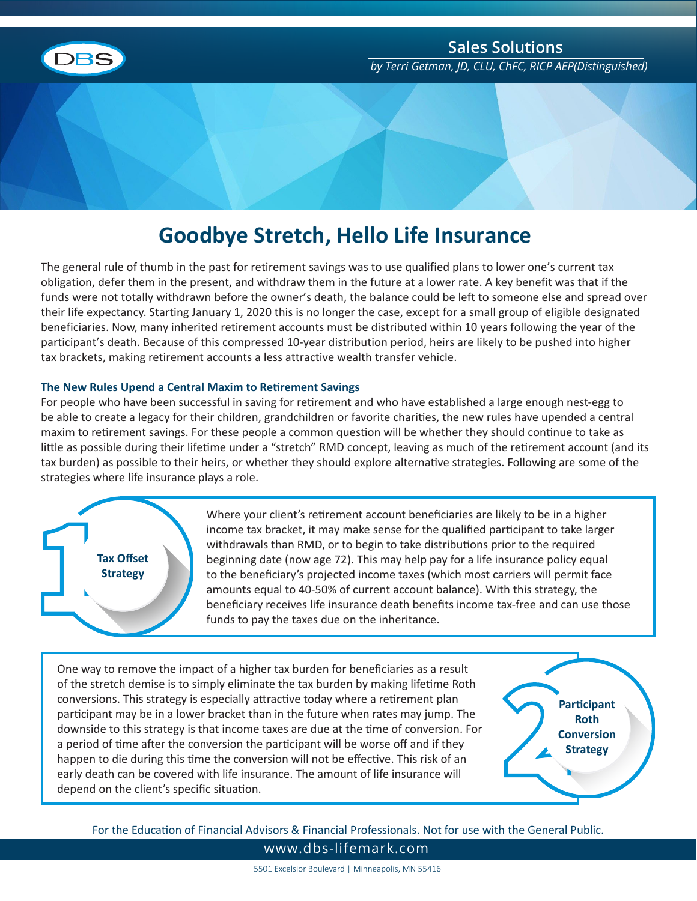

## **Goodbye Stretch, Hello Life Insurance**

The general rule of thumb in the past for retirement savings was to use qualified plans to lower one's current tax obligation, defer them in the present, and withdraw them in the future at a lower rate. A key benefit was that if the funds were not totally withdrawn before the owner's death, the balance could be left to someone else and spread over their life expectancy. Starting January 1, 2020 this is no longer the case, except for a small group of eligible designated beneficiaries. Now, many inherited retirement accounts must be distributed within 10 years following the year of the participant's death. Because of this compressed 10-year distribution period, heirs are likely to be pushed into higher tax brackets, making retirement accounts a less attractive wealth transfer vehicle.

## **The New Rules Upend a Central Maxim to Retirement Savings**

For people who have been successful in saving for retirement and who have established a large enough nest-egg to be able to create a legacy for their children, grandchildren or favorite charities, the new rules have upended a central maxim to retirement savings. For these people a common question will be whether they should continue to take as little as possible during their lifetime under a "stretch" RMD concept, leaving as much of the retirement account (and its tax burden) as possible to their heirs, or whether they should explore alternative strategies. Following are some of the strategies where life insurance plays a role.



Where your client's retirement account beneficiaries are likely to be in a higher income tax bracket, it may make sense for the qualified participant to take larger withdrawals than RMD, or to begin to take distributions prior to the required beginning date (now age 72). This may help pay for a life insurance policy equal to the beneficiary's projected income taxes (which most carriers will permit face amounts equal to 40-50% of current account balance). With this strategy, the beneficiary receives life insurance death benefits income tax-free and can use those funds to pay the taxes due on the inheritance.

One way to remove the impact of a higher tax burden for beneficiaries as a result of the stretch demise is to simply eliminate the tax burden by making lifetime Roth conversions. This strategy is especially attractive today where a retirement plan participant may be in a lower bracket than in the future when rates may jump. The downside to this strategy is that income taxes are due at the time of conversion. For a period of time after the conversion the participant will be worse off and if they happen to die during this time the conversion will not be effective. This risk of an early death can be covered with life insurance. The amount of life insurance will depend on the client's specific situation.

**Participant Roth Conversion Strategy**

www.dbs-lifemark.com For the Education of Financial Advisors & Financial Professionals. Not for use with the General Public.